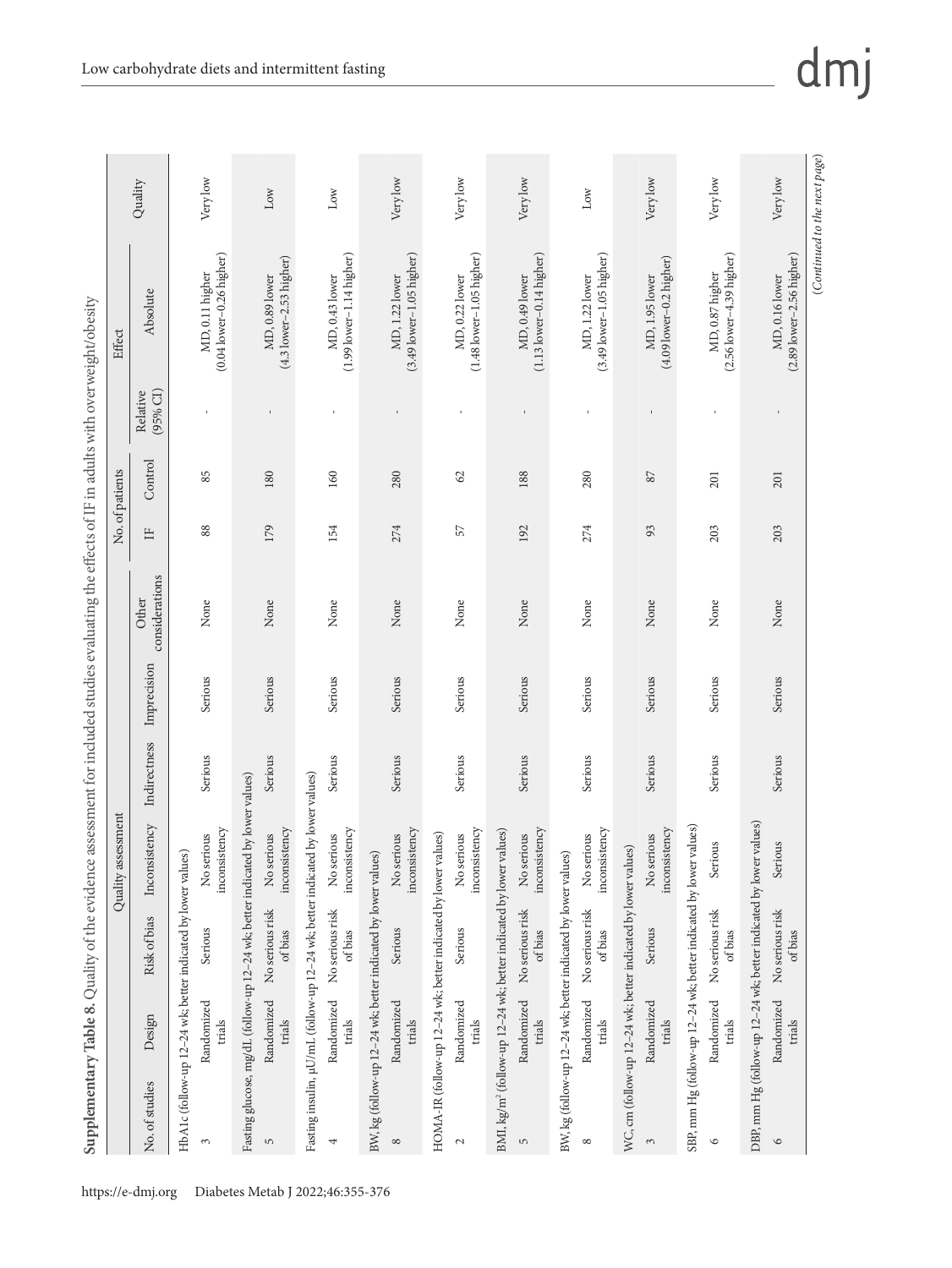| city<br>$\frac{1}{2}$              |
|------------------------------------|
| i<br>j                             |
| ł<br>j                             |
| I<br>j                             |
| j                                  |
| İ<br>j                             |
| ξ<br>ς                             |
| ior                                |
| $\frac{1}{2}$<br>ë                 |
|                                    |
|                                    |
| <b>UADIO</b>                       |
|                                    |
| ś<br>j                             |
| í<br>Ì                             |
| i                                  |
| I<br>١                             |
| į                                  |
| ı                                  |
| i                                  |
|                                    |
| Ě<br>j                             |
|                                    |
| <br> <br>۱                         |
| ł                                  |
| ¢                                  |
|                                    |
| i                                  |
| ¢<br>ı                             |
| Î                                  |
| $\overline{a}$                     |
| ć                                  |
| ś<br>į                             |
| ļ<br>ĺ<br>١                        |
| Ì<br>i<br>Ì                        |
|                                    |
| j<br>ć                             |
| j                                  |
|                                    |
| AT <sub>2</sub>                    |
|                                    |
| I<br>ă                             |
| É                                  |
| ₹<br>ï                             |
| Š<br>į                             |
|                                    |
|                                    |
| $\ddot{\bm{z}}$<br>ı               |
|                                    |
| ī                                  |
|                                    |
| ĭ                                  |
| ļ                                  |
| y                                  |
| ł,<br>¢                            |
| j                                  |
| Ł                                  |
|                                    |
|                                    |
|                                    |
| cman                               |
| i<br>1                             |
| i                                  |
| ţ                                  |
|                                    |
| i                                  |
| ţ                                  |
| ₹                                  |
| l                                  |
| )<br>)<br>۱                        |
|                                    |
| I                                  |
|                                    |
| í<br>$\overline{\phantom{a}}$<br>j |
|                                    |
|                                    |
| $\vdots$                           |
|                                    |
| $\frac{1}{2}$<br>j<br>į            |
| )<br>Ò                             |
| X<br>١                             |
|                                    |
| 1<br>í                             |
| é                                  |
|                                    |
| í                                  |
|                                    |
| Ĩ                                  |
|                                    |
|                                    |
|                                    |
|                                    |
|                                    |
|                                    |
| mplementai<br>I<br>I               |

| Fasting glucose, mg/dL (follow-up 12-24 wk; better indicated by lower values)<br>HbA1c (follow-up 12-24 wk; better indicated by lower values)<br>Randomized<br>Design<br>trials<br>No. of studies<br>3 | Risk of bias               |                             |              |             |                         |              | No. of patients |                      | Effect                                           |          |
|--------------------------------------------------------------------------------------------------------------------------------------------------------------------------------------------------------|----------------------------|-----------------------------|--------------|-------------|-------------------------|--------------|-----------------|----------------------|--------------------------------------------------|----------|
|                                                                                                                                                                                                        |                            | Inconsistency               | Indirectness | Imprecision | considerations<br>Other | $\mathbb{H}$ | Control         | (95% CI)<br>Relative | Absolute                                         | Quality  |
|                                                                                                                                                                                                        |                            |                             |              |             |                         |              |                 |                      |                                                  |          |
|                                                                                                                                                                                                        | Serious                    | inconsistency<br>No serious | Serious      | Serious     | None                    | 88           | 85              |                      | $(0.04$ lower $-0.26$ higher)<br>MD, 0.11 higher | Very low |
|                                                                                                                                                                                                        |                            |                             |              |             |                         |              |                 |                      |                                                  |          |
| Randomized<br>trials<br>$\sqrt{2}$                                                                                                                                                                     | No serious risk<br>of bias | inconsistency<br>No serious | Serious      | Serious     | None                    | 179          | 180             |                      | $(4.3$ lower-2.53 higher)<br>MD, 0.89 lower      | Low      |
| Fasting insulin, µU/mL (follow-up 12-24 wk; better indicated by lower values)                                                                                                                          |                            |                             |              |             |                         |              |                 |                      |                                                  |          |
| Randomized<br>trials<br>4                                                                                                                                                                              | No serious risk<br>of bias | inconsistency<br>No serious | Serious      | Serious     | None                    | 154          | 160             |                      | $(1.99$ lower-1.14 higher)<br>MD, 0.43 lower     | Low      |
| BW, kg (follow-up 12-24 wk; better indicated by lower values)                                                                                                                                          |                            |                             |              |             |                         |              |                 |                      |                                                  |          |
| Randomized<br>trials<br>$\infty$                                                                                                                                                                       | Serious                    | inconsistency<br>No serious | Serious      | Serious     | None                    | 274          | 280             |                      | $(3.49$ lower-1.05 higher)<br>MD, 1.22 lower     | Very low |
| HOMA-IR (follow-up 12-24 wk; better indicated by lower values)                                                                                                                                         |                            |                             |              |             |                         |              |                 |                      |                                                  |          |
| Randomized<br>trials<br>$\mathcal{L}$                                                                                                                                                                  | Serious                    | inconsistency<br>No serious | Serious      | Serious     | None                    | 57           | 62              |                      | $(1.48$ lower-1.05 higher)<br>MD, 0.22 lower     | Very low |
| BMI, kg/m <sup>2</sup> (follow-up 12-24 wk; better indicated by lower values)                                                                                                                          |                            |                             |              |             |                         |              |                 |                      |                                                  |          |
| Randomized<br>trials<br>$\overline{5}$                                                                                                                                                                 | No serious risk<br>ofbias  | inconsistency<br>No serious | Serious      | Serious     | None                    | 192          | 188             |                      | $(1.13$ lower-0.14 higher)<br>MD, 0.49 lower     | Very low |
| BW, kg (follow-up 12-24 wk; better indicated by lower values)                                                                                                                                          |                            |                             |              |             |                         |              |                 |                      |                                                  |          |
| Randomized<br>trials<br>${}^{\circ}$                                                                                                                                                                   | No serious risk<br>of bias | inconsistency<br>No serious | Serious      | Serious     | None                    | 274          | 280             |                      | $(3.49$ lower-1.05 higher)<br>MD, 1.22 lower     | Low      |
| WC, cm (follow-up 12-24 wk; better indicated by lower values)                                                                                                                                          |                            |                             |              |             |                         |              |                 |                      |                                                  |          |
| Randomized<br>trials<br>3                                                                                                                                                                              | Serious                    | inconsistency<br>No serious | Serious      | Serious     | None                    | 93           | $87\,$          |                      | $(4.09$ lower-0.2 higher)<br>MD, 1.95 lower      | Very low |
| SBP, mm Hg (follow-up 12-24 wk; better indicated by lower values)                                                                                                                                      |                            |                             |              |             |                         |              |                 |                      |                                                  |          |
| Randomized<br>trials<br>$\circ$                                                                                                                                                                        | No serious risk<br>of bias | Serious                     | Serious      | Serious     | None                    | 203          | 201             |                      | $(2.56$ lower $-4.39$ higher)<br>MD, 0.87 higher | Very low |
| DBP, mm Hg (follow-up 12-24 wk; better indicated by lower values)                                                                                                                                      |                            |                             |              |             |                         |              |                 |                      |                                                  |          |
| Randomized<br>trials<br>$\circ$                                                                                                                                                                        | No serious risk<br>of bias | Serious                     | Serious      | Serious     | None                    | 203          | 201             |                      | $(2.89$ lower- $2.56$ higher)<br>MD, 0.16 lower  | Very low |

(*Continued to the next page*)

 $(Continued\ to\ the\ next\ page)$